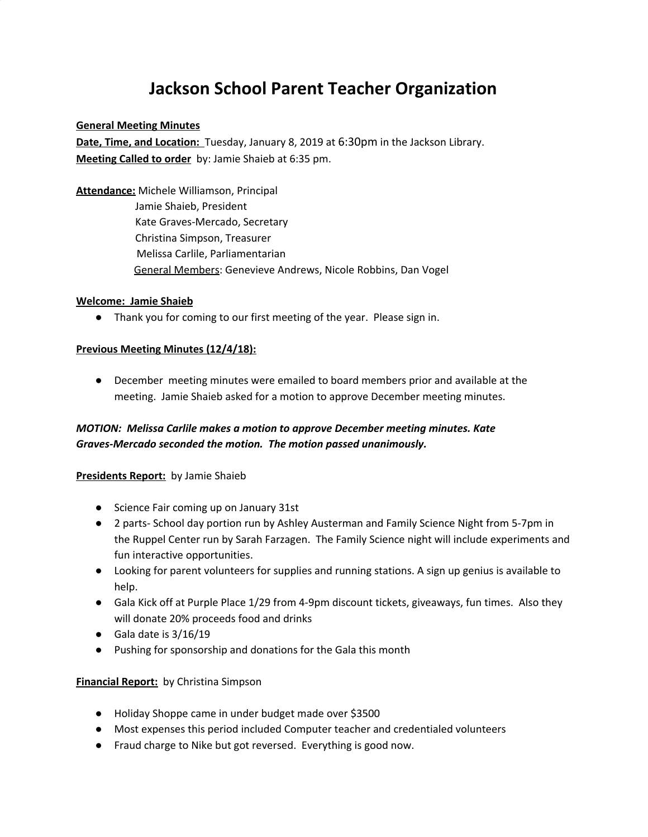# **Jackson School Parent Teacher Organization**

#### **General Meeting Minutes**

**Date, Time, and Location:** Tuesday, January 8, 2019 at 6:30pm in the Jackson Library. **Meeting Called to order** by: Jamie Shaieb at 6:35 pm.

**Attendance:** Michele Williamson, Principal Jamie Shaieb, President Kate Graves-Mercado, Secretary Christina Simpson, Treasurer Melissa Carlile, Parliamentarian General Members: Genevieve Andrews, Nicole Robbins, Dan Vogel

#### **Welcome: Jamie Shaieb**

● Thank you for coming to our first meeting of the year. Please sign in.

#### **Previous Meeting Minutes (12/4/18):**

● December meeting minutes were emailed to board members prior and available at the meeting. Jamie Shaieb asked for a motion to approve December meeting minutes.

## *MOTION: Melissa Carlile makes a motion to approve December meeting minutes. Kate Graves-Mercado seconded the motion. The motion passed unanimously.*

#### **Presidents Report:** by Jamie Shaieb

- Science Fair coming up on January 31st
- 2 parts- School day portion run by Ashley Austerman and Family Science Night from 5-7pm in the Ruppel Center run by Sarah Farzagen. The Family Science night will include experiments and fun interactive opportunities.
- Looking for parent volunteers for supplies and running stations. A sign up genius is available to help.
- Gala Kick off at Purple Place 1/29 from 4-9pm discount tickets, giveaways, fun times. Also they will donate 20% proceeds food and drinks
- $\bullet$  Gala date is 3/16/19
- Pushing for sponsorship and donations for the Gala this month

#### **Financial Report:** by Christina Simpson

- Holiday Shoppe came in under budget made over \$3500
- Most expenses this period included Computer teacher and credentialed volunteers
- Fraud charge to Nike but got reversed. Everything is good now.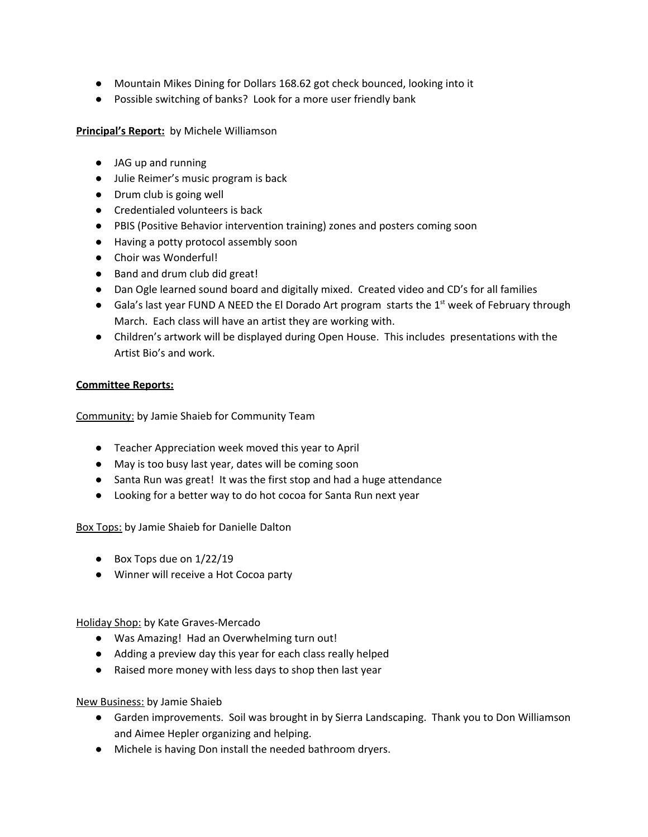- Mountain Mikes Dining for Dollars 168.62 got check bounced, looking into it
- Possible switching of banks? Look for a more user friendly bank

### **Principal's Report:** by Michele Williamson

- JAG up and running
- Julie Reimer's music program is back
- Drum club is going well
- Credentialed volunteers is back
- PBIS (Positive Behavior intervention training) zones and posters coming soon
- Having a potty protocol assembly soon
- Choir was Wonderful!
- Band and drum club did great!
- Dan Ogle learned sound board and digitally mixed. Created video and CD's for all families
- Gala's last year FUND A NEED the El Dorado Art program starts the 1<sup>st</sup> week of February through March. Each class will have an artist they are working with.
- Children's artwork will be displayed during Open House. This includes presentations with the Artist Bio's and work.

#### **Committee Reports:**

Community: by Jamie Shaieb for Community Team

- Teacher Appreciation week moved this year to April
- May is too busy last year, dates will be coming soon
- Santa Run was great! It was the first stop and had a huge attendance
- Looking for a better way to do hot cocoa for Santa Run next year

Box Tops: by Jamie Shaieb for Danielle Dalton

- Box Tops due on 1/22/19
- Winner will receive a Hot Cocoa party

Holiday Shop: by Kate Graves-Mercado

- Was Amazing! Had an Overwhelming turn out!
- Adding a preview day this year for each class really helped
- Raised more money with less days to shop then last year

#### New Business: by Jamie Shaieb

- Garden improvements. Soil was brought in by Sierra Landscaping. Thank you to Don Williamson and Aimee Hepler organizing and helping.
- Michele is having Don install the needed bathroom dryers.